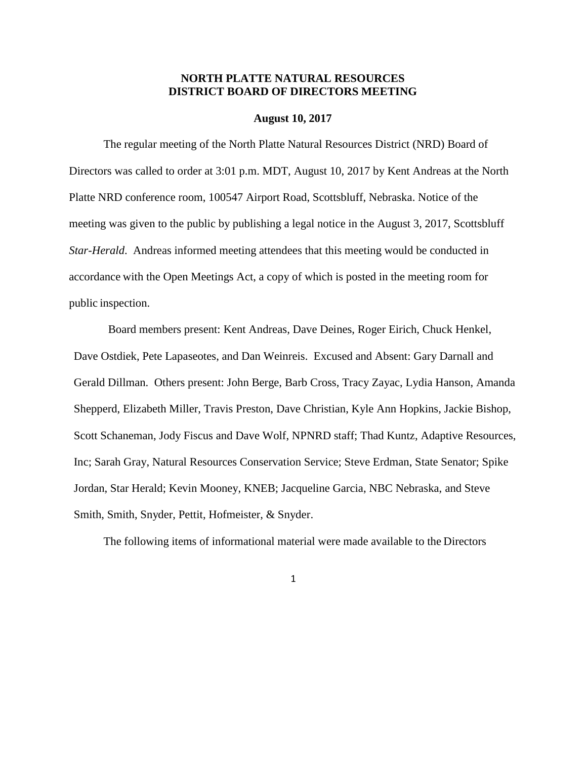# **NORTH PLATTE NATURAL RESOURCES DISTRICT BOARD OF DIRECTORS MEETING**

#### **August 10, 2017**

The regular meeting of the North Platte Natural Resources District (NRD) Board of Directors was called to order at 3:01 p.m. MDT, August 10, 2017 by Kent Andreas at the North Platte NRD conference room, 100547 Airport Road, Scottsbluff, Nebraska. Notice of the meeting was given to the public by publishing a legal notice in the August 3, 2017, Scottsbluff *Star-Herald*. Andreas informed meeting attendees that this meeting would be conducted in accordance with the Open Meetings Act, a copy of which is posted in the meeting room for public inspection.

Board members present: Kent Andreas, Dave Deines, Roger Eirich, Chuck Henkel, Dave Ostdiek, Pete Lapaseotes, and Dan Weinreis. Excused and Absent: Gary Darnall and Gerald Dillman. Others present: John Berge, Barb Cross, Tracy Zayac, Lydia Hanson, Amanda Shepperd, Elizabeth Miller, Travis Preston, Dave Christian, Kyle Ann Hopkins, Jackie Bishop, Scott Schaneman, Jody Fiscus and Dave Wolf, NPNRD staff; Thad Kuntz, Adaptive Resources, Inc; Sarah Gray, Natural Resources Conservation Service; Steve Erdman, State Senator; Spike Jordan, Star Herald; Kevin Mooney, KNEB; Jacqueline Garcia, NBC Nebraska, and Steve Smith, Smith, Snyder, Pettit, Hofmeister, & Snyder.

The following items of informational material were made available to the Directors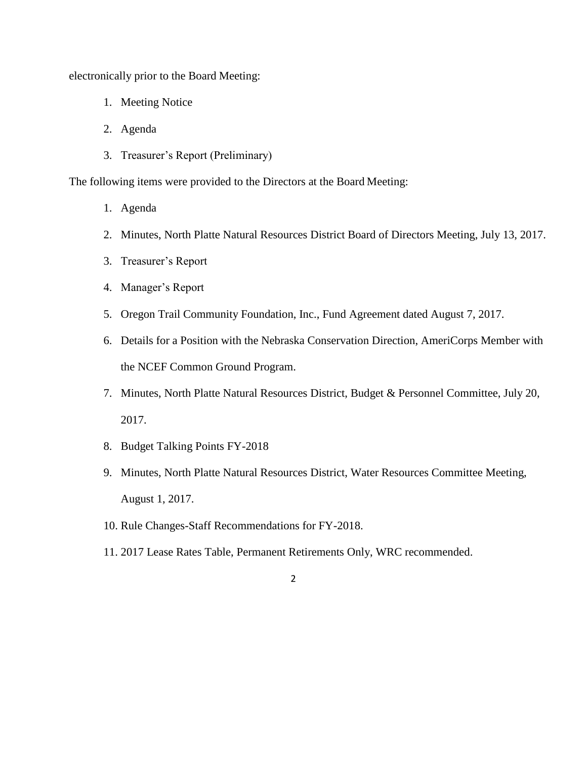electronically prior to the Board Meeting:

- 1. Meeting Notice
- 2. Agenda
- 3. Treasurer's Report (Preliminary)

The following items were provided to the Directors at the Board Meeting:

- 1. Agenda
- 2. Minutes, North Platte Natural Resources District Board of Directors Meeting, July 13, 2017.
- 3. Treasurer's Report
- 4. Manager's Report
- 5. Oregon Trail Community Foundation, Inc., Fund Agreement dated August 7, 2017.
- 6. Details for a Position with the Nebraska Conservation Direction, AmeriCorps Member with the NCEF Common Ground Program.
- 7. Minutes, North Platte Natural Resources District, Budget & Personnel Committee, July 20, 2017.
- 8. Budget Talking Points FY-2018
- 9. Minutes, North Platte Natural Resources District, Water Resources Committee Meeting, August 1, 2017.
- 10. Rule Changes-Staff Recommendations for FY-2018.
- 11. 2017 Lease Rates Table, Permanent Retirements Only, WRC recommended.
	- 2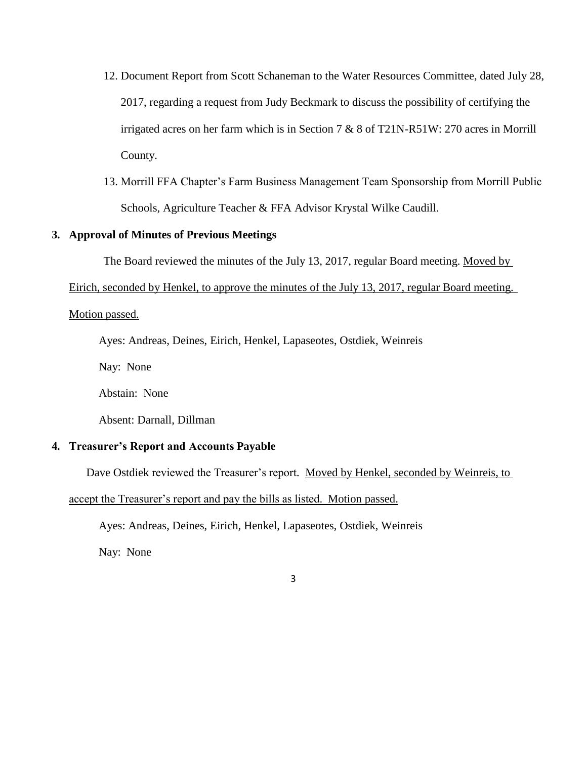- 12. Document Report from Scott Schaneman to the Water Resources Committee, dated July 28, 2017, regarding a request from Judy Beckmark to discuss the possibility of certifying the irrigated acres on her farm which is in Section 7 & 8 of T21N-R51W: 270 acres in Morrill County.
- 13. Morrill FFA Chapter's Farm Business Management Team Sponsorship from Morrill Public Schools, Agriculture Teacher & FFA Advisor Krystal Wilke Caudill.

## **3. Approval of Minutes of Previous Meetings**

The Board reviewed the minutes of the July 13, 2017, regular Board meeting. Moved by

Eirich, seconded by Henkel, to approve the minutes of the July 13, 2017, regular Board meeting.

## Motion passed.

Ayes: Andreas, Deines, Eirich, Henkel, Lapaseotes, Ostdiek, Weinreis

Nay: None

Abstain: None

Absent: Darnall, Dillman

## **4. Treasurer's Report and Accounts Payable**

Dave Ostdiek reviewed the Treasurer's report. Moved by Henkel, seconded by Weinreis, to

accept the Treasurer's report and pay the bills as listed. Motion passed.

Ayes: Andreas, Deines, Eirich, Henkel, Lapaseotes, Ostdiek, Weinreis

Nay: None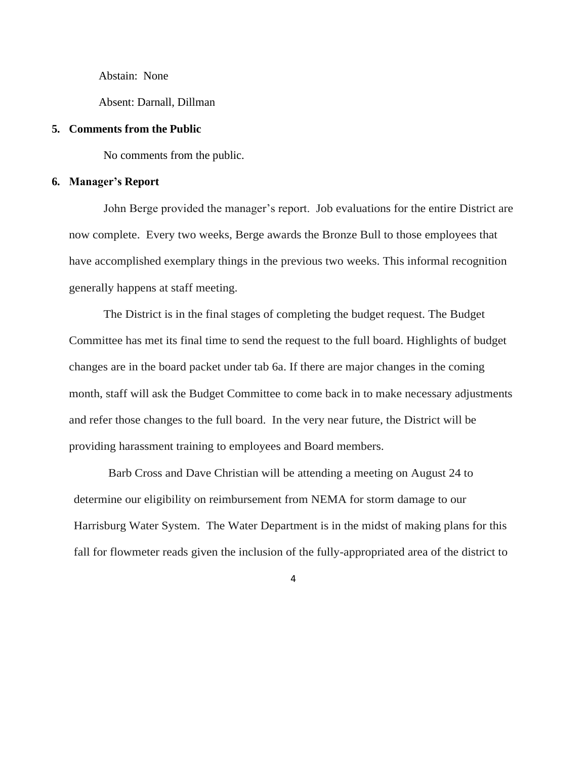Abstain: None

Absent: Darnall, Dillman

### **5. Comments from the Public**

No comments from the public.

#### **6. Manager's Report**

John Berge provided the manager's report. Job evaluations for the entire District are now complete. Every two weeks, Berge awards the Bronze Bull to those employees that have accomplished exemplary things in the previous two weeks. This informal recognition generally happens at staff meeting.

The District is in the final stages of completing the budget request. The Budget Committee has met its final time to send the request to the full board. Highlights of budget changes are in the board packet under tab 6a. If there are major changes in the coming month, staff will ask the Budget Committee to come back in to make necessary adjustments and refer those changes to the full board. In the very near future, the District will be providing harassment training to employees and Board members.

Barb Cross and Dave Christian will be attending a meeting on August 24 to determine our eligibility on reimbursement from NEMA for storm damage to our Harrisburg Water System. The Water Department is in the midst of making plans for this fall for flowmeter reads given the inclusion of the fully-appropriated area of the district to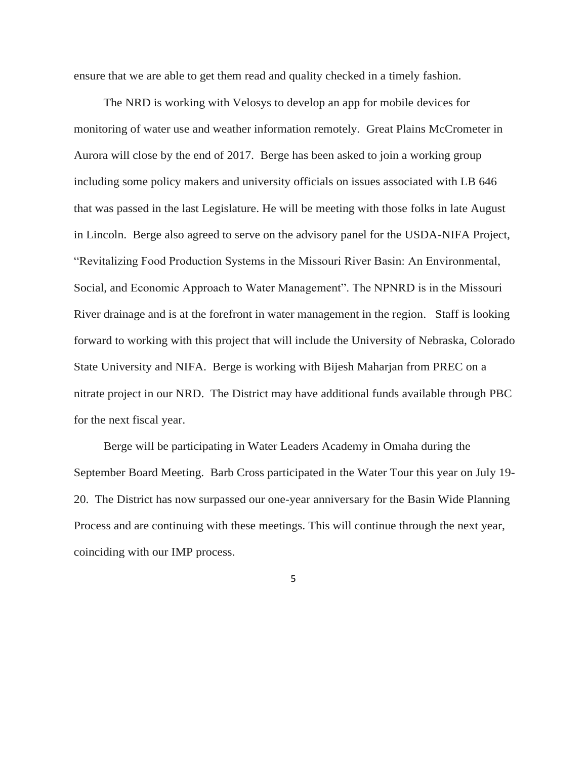ensure that we are able to get them read and quality checked in a timely fashion.

The NRD is working with Velosys to develop an app for mobile devices for monitoring of water use and weather information remotely. Great Plains McCrometer in Aurora will close by the end of 2017. Berge has been asked to join a working group including some policy makers and university officials on issues associated with LB 646 that was passed in the last Legislature. He will be meeting with those folks in late August in Lincoln. Berge also agreed to serve on the advisory panel for the USDA-NIFA Project, "Revitalizing Food Production Systems in the Missouri River Basin: An Environmental, Social, and Economic Approach to Water Management". The NPNRD is in the Missouri River drainage and is at the forefront in water management in the region. Staff is looking forward to working with this project that will include the University of Nebraska, Colorado State University and NIFA. Berge is working with Bijesh Maharjan from PREC on a nitrate project in our NRD. The District may have additional funds available through PBC for the next fiscal year.

Berge will be participating in Water Leaders Academy in Omaha during the September Board Meeting. Barb Cross participated in the Water Tour this year on July 19- 20. The District has now surpassed our one-year anniversary for the Basin Wide Planning Process and are continuing with these meetings. This will continue through the next year, coinciding with our IMP process.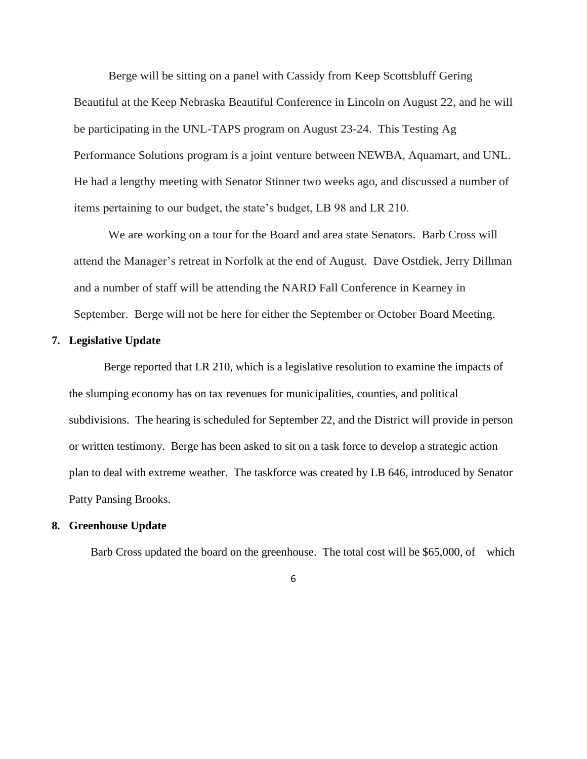Berge will be sitting on a panel with Cassidy from Keep Scottsbluff Gering Beautiful at the Keep Nebraska Beautiful Conference in Lincoln on August 22, and he will be participating in the UNL-TAPS program on August 23-24. This Testing Ag Performance Solutions program is a joint venture between NEWBA, Aquamart, and UNL. He had a lengthy meeting with Senator Stinner two weeks ago, and discussed a number of items pertaining to our budget, the state's budget, LB 98 and LR 210.

We are working on a tour for the Board and area state Senators. Barb Cross will attend the Manager's retreat in Norfolk at the end of August. Dave Ostdiek, Jerry Dillman and a number of staff will be attending the NARD Fall Conference in Kearney in September. Berge will not be here for either the September or October Board Meeting.

## **7. Legislative Update**

Berge reported that LR 210, which is a legislative resolution to examine the impacts of the slumping economy has on tax revenues for municipalities, counties, and political subdivisions. The hearing is scheduled for September 22, and the District will provide in person or written testimony. Berge has been asked to sit on a task force to develop a strategic action plan to deal with extreme weather. The taskforce was created by LB 646, introduced by Senator Patty Pansing Brooks.

## **8. Greenhouse Update**

Barb Cross updated the board on the greenhouse. The total cost will be \$65,000, of which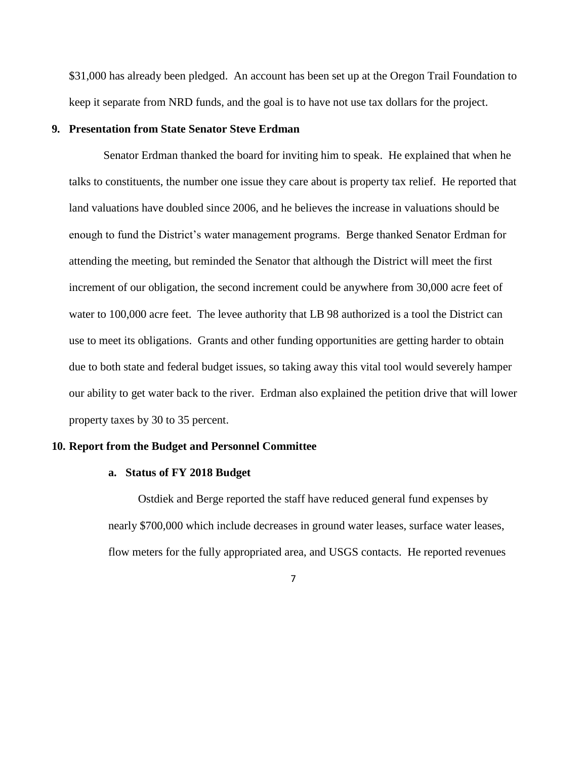\$31,000 has already been pledged. An account has been set up at the Oregon Trail Foundation to keep it separate from NRD funds, and the goal is to have not use tax dollars for the project.

### **9. Presentation from State Senator Steve Erdman**

Senator Erdman thanked the board for inviting him to speak. He explained that when he talks to constituents, the number one issue they care about is property tax relief. He reported that land valuations have doubled since 2006, and he believes the increase in valuations should be enough to fund the District's water management programs. Berge thanked Senator Erdman for attending the meeting, but reminded the Senator that although the District will meet the first increment of our obligation, the second increment could be anywhere from 30,000 acre feet of water to 100,000 acre feet. The levee authority that LB 98 authorized is a tool the District can use to meet its obligations. Grants and other funding opportunities are getting harder to obtain due to both state and federal budget issues, so taking away this vital tool would severely hamper our ability to get water back to the river. Erdman also explained the petition drive that will lower property taxes by 30 to 35 percent.

#### **10. Report from the Budget and Personnel Committee**

#### **a. Status of FY 2018 Budget**

Ostdiek and Berge reported the staff have reduced general fund expenses by nearly \$700,000 which include decreases in ground water leases, surface water leases, flow meters for the fully appropriated area, and USGS contacts. He reported revenues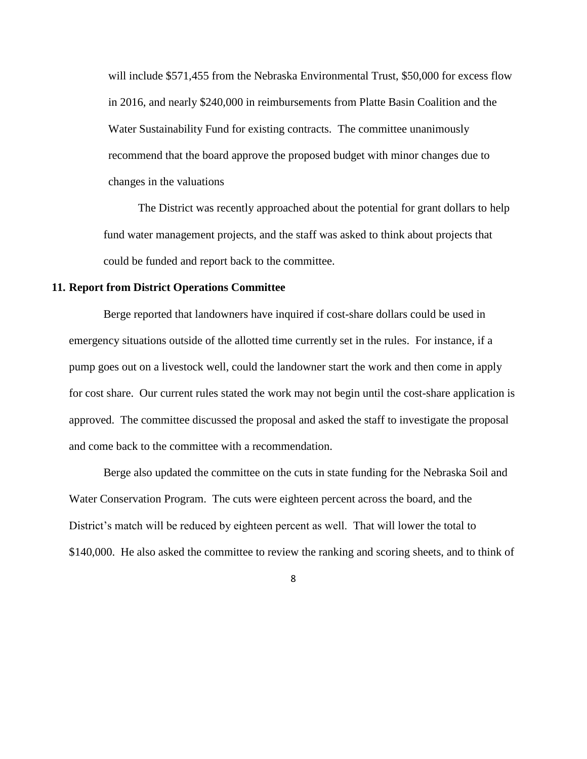will include \$571,455 from the Nebraska Environmental Trust, \$50,000 for excess flow in 2016, and nearly \$240,000 in reimbursements from Platte Basin Coalition and the Water Sustainability Fund for existing contracts. The committee unanimously recommend that the board approve the proposed budget with minor changes due to changes in the valuations

The District was recently approached about the potential for grant dollars to help fund water management projects, and the staff was asked to think about projects that could be funded and report back to the committee.

## **11. Report from District Operations Committee**

Berge reported that landowners have inquired if cost-share dollars could be used in emergency situations outside of the allotted time currently set in the rules. For instance, if a pump goes out on a livestock well, could the landowner start the work and then come in apply for cost share. Our current rules stated the work may not begin until the cost-share application is approved. The committee discussed the proposal and asked the staff to investigate the proposal and come back to the committee with a recommendation.

Berge also updated the committee on the cuts in state funding for the Nebraska Soil and Water Conservation Program. The cuts were eighteen percent across the board, and the District's match will be reduced by eighteen percent as well. That will lower the total to \$140,000. He also asked the committee to review the ranking and scoring sheets, and to think of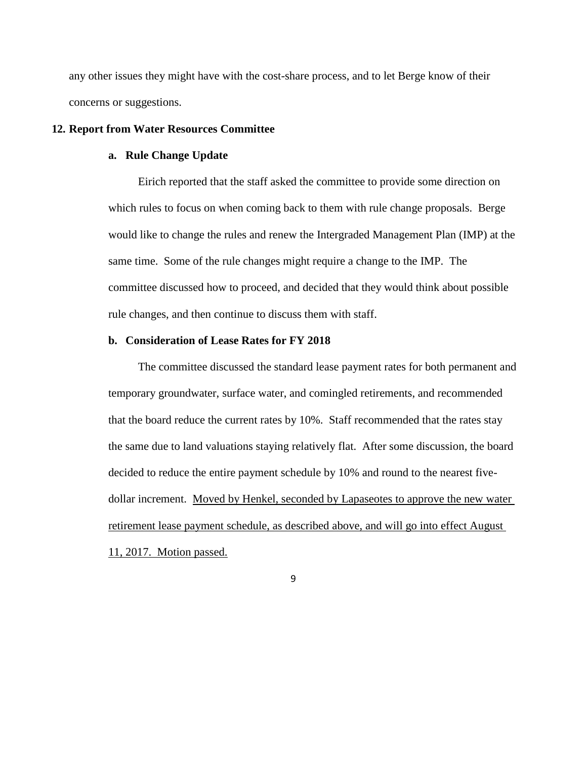any other issues they might have with the cost-share process, and to let Berge know of their concerns or suggestions.

### **12. Report from Water Resources Committee**

### **a. Rule Change Update**

Eirich reported that the staff asked the committee to provide some direction on which rules to focus on when coming back to them with rule change proposals. Berge would like to change the rules and renew the Intergraded Management Plan (IMP) at the same time. Some of the rule changes might require a change to the IMP. The committee discussed how to proceed, and decided that they would think about possible rule changes, and then continue to discuss them with staff.

#### **b. Consideration of Lease Rates for FY 2018**

The committee discussed the standard lease payment rates for both permanent and temporary groundwater, surface water, and comingled retirements, and recommended that the board reduce the current rates by 10%. Staff recommended that the rates stay the same due to land valuations staying relatively flat. After some discussion, the board decided to reduce the entire payment schedule by 10% and round to the nearest fivedollar increment. Moved by Henkel, seconded by Lapaseotes to approve the new water retirement lease payment schedule, as described above, and will go into effect August 11, 2017. Motion passed.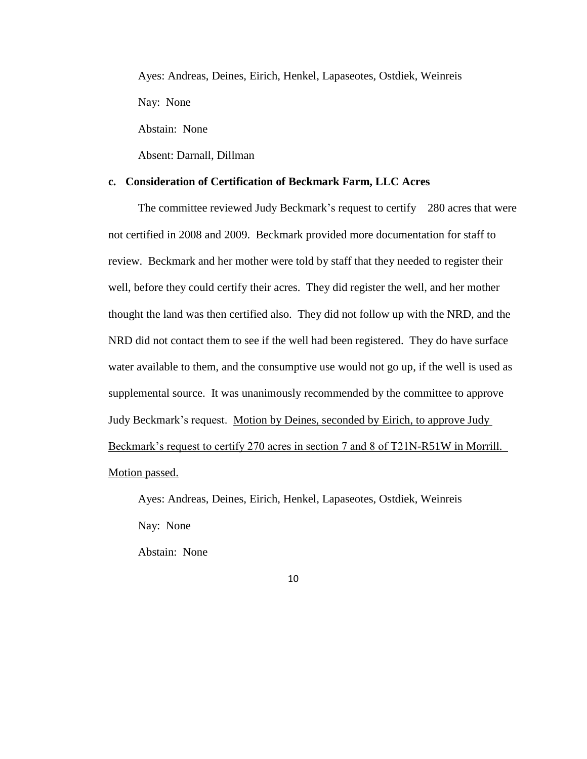Ayes: Andreas, Deines, Eirich, Henkel, Lapaseotes, Ostdiek, Weinreis Nay: None

Abstain: None

Absent: Darnall, Dillman

## **c. Consideration of Certification of Beckmark Farm, LLC Acres**

The committee reviewed Judy Beckmark's request to certify 280 acres that were not certified in 2008 and 2009. Beckmark provided more documentation for staff to review. Beckmark and her mother were told by staff that they needed to register their well, before they could certify their acres. They did register the well, and her mother thought the land was then certified also. They did not follow up with the NRD, and the NRD did not contact them to see if the well had been registered. They do have surface water available to them, and the consumptive use would not go up, if the well is used as supplemental source. It was unanimously recommended by the committee to approve Judy Beckmark's request. Motion by Deines, seconded by Eirich, to approve Judy Beckmark's request to certify 270 acres in section 7 and 8 of T21N-R51W in Morrill. Motion passed.

Ayes: Andreas, Deines, Eirich, Henkel, Lapaseotes, Ostdiek, Weinreis Nay: None Abstain: None